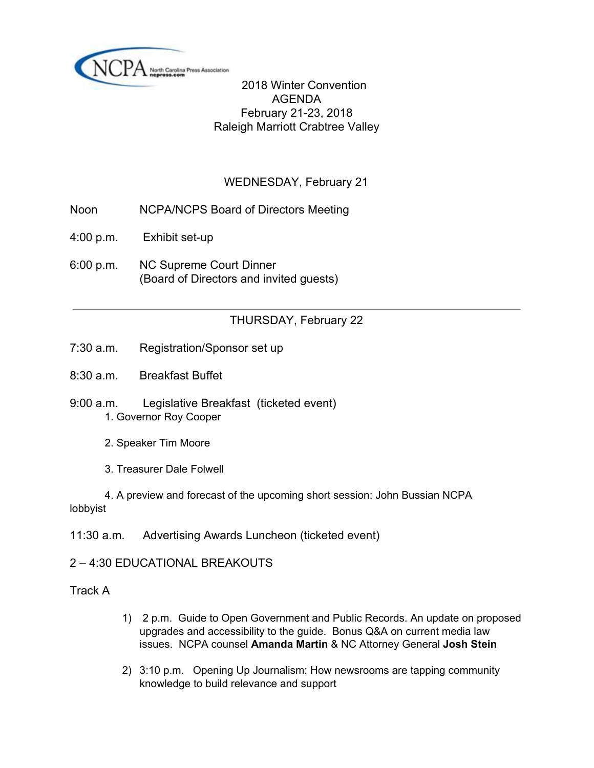

 2018 Winter Convention AGENDA February 21-23, 2018 Raleigh Marriott Crabtree Valley

# WEDNESDAY, February 21

- Noon NCPA/NCPS Board of Directors Meeting
- 4:00 p.m. Exhibit set-up
- 6:00 p.m. NC Supreme Court Dinner (Board of Directors and invited guests)

## THURSDAY, February 22

- 7:30 a.m. Registration/Sponsor set up
- 8:30 a.m. Breakfast Buffet
- 9:00 a.m. Legislative Breakfast (ticketed event) 1. Governor Roy Cooper
	- 2. Speaker Tim Moore
	- 3. Treasurer Dale Folwell

4. A preview and forecast of the upcoming short session: John Bussian NCPA lobbyist

11:30 a.m. Advertising Awards Luncheon (ticketed event)

2 – 4:30 EDUCATIONAL BREAKOUTS

Track A

- 1) 2 p.m. Guide to Open Government and Public Records. An update on proposed upgrades and accessibility to the guide. Bonus Q&A on current media law issues. NCPA counsel **Amanda Martin** & NC Attorney General **Josh Stein**
- 2) 3:10 p.m. Opening Up Journalism: How newsrooms are tapping community knowledge to build relevance and support